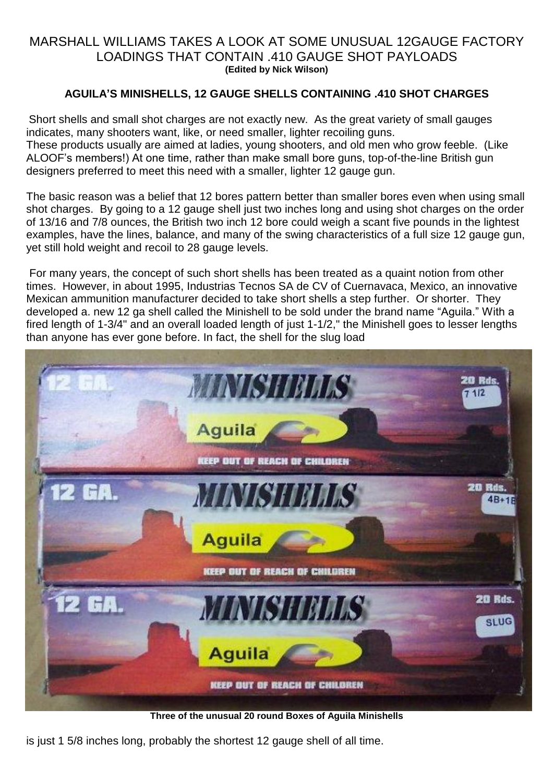### MARSHALL WILLIAMS TAKES A LOOK AT SOME UNUSUAL 12GAUGE FACTORY LOADINGS THAT CONTAIN .410 GAUGE SHOT PAYLOADS **(Edited by Nick Wilson)**

### **AGUILAíS MINISHELLS, 12 GAUGE SHELLS CONTAINING .410 SHOT CHARGES**

Short shells and small shot charges are not exactly new. As the great variety of small gauges indicates, many shooters want, like, or need smaller, lighter recoiling guns. These products usually are aimed at ladies, young shooters, and old men who grow feeble. (Like ALOOF's members!) At one time, rather than make small bore guns, top-of-the-line British gun designers preferred to meet this need with a smaller, lighter 12 gauge gun.

The basic reason was a belief that 12 bores pattern better than smaller bores even when using small shot charges. By going to a 12 gauge shell just two inches long and using shot charges on the order of 13/16 and 7/8 ounces, the British two inch 12 bore could weigh a scant five pounds in the lightest examples, have the lines, balance, and many of the swing characteristics of a full size 12 gauge gun, yet still hold weight and recoil to 28 gauge levels.

For many years, the concept of such short shells has been treated as a quaint notion from other times. However, in about 1995, Industrias Tecnos SA de CV of Cuernavaca, Mexico, an innovative Mexican ammunition manufacturer decided to take short shells a step further. Or shorter. They developed a. new 12 ga shell called the Minishell to be sold under the brand name "Aguila." With a fired length of 1-3/4" and an overall loaded length of just 1-1/2," the Minishell goes to lesser lengths than anyone has ever gone before. In fact, the shell for the slug load



**Three of the unusual 20 round Boxes of Aguila Minishells**

is just 1 5/8 inches long, probably the shortest 12 gauge shell of all time.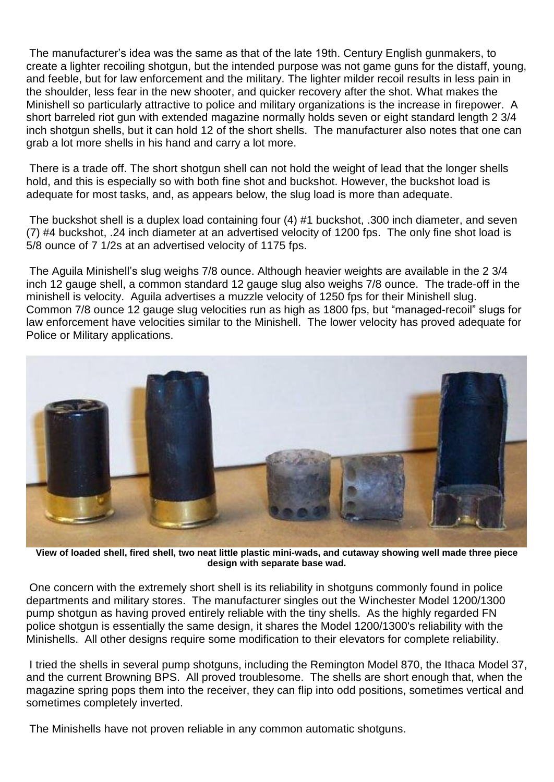The manufacturerís idea was the same as that of the late 19th. Century English gunmakers, to create a lighter recoiling shotgun, but the intended purpose was notgame guns for the distaff, young, and feeble, but for law enforcement and the military. The lighter milder recoil results in less pain in the shoulder, less fear in the new shooter, and quicker recovery after the shot. What makes the Minishell so particularly attractive to police and military organizations is the increase in firepower. A short barreled riot gun with extended magazine normally holds seven or eight standard length 2 3/4 inch shotgun shells, but it can hold 12 of the short shells. The manufacturer also notes that one can grab a lot more shells in his hand and carry a lot more.

There is a trade off. The short shotgun shell can not hold the weight of lead that the longer shells hold, and this is especially so with both fine shot and buckshot. However, the buckshot load is adequate for most tasks, and, as appears below, the slug load is more than adequate.

The buckshot shell is a duplex load containing four (4) #1 buckshot, .300 inch diameter, and seven (7) #4 buckshot, .24 inch diameter at an advertised velocity of 1200 fps. The only fine shot load is 5/8 ounce of 7 1/2s at an advertised velocity of 1175 fps.

The Aguila Minishell's slug weighs 7/8 ounce. Although heavier weights are available in the 2 3/4 inch 12 gauge shell, a common standard 12 gauge slug also weighs 7/8 ounce. The trade-off in the minishell is velocity. Aguila advertises a muzzle velocity of 1250 fps for their Minishell slug. Common 7/8 ounce 12 gauge slug velocities run as high as 1800 fps, but "managed-recoil" slugs for law enforcement have velocities similar to the Minishell. The lower velocity has proved adequate for Police or Military applications.



View of loaded shell, fired shell, two neat little plastic mini-wads, and cutaway showing well made three piece **design with separate base wad.**

One concern with the extremely short shell is its reliability in shotguns commonly found in police departments and military stores. The manufacturer singles out the Winchester Model 1200/1300 pump shotgun as having proved entirely reliable with the tiny shells. As the highly regarded FN police shotgun is essentially the same design, it shares the Model 1200/1300's reliability with the Minishells. All other designs require some modification to their elevators for complete reliability.

I tried the shells in several pump shotguns, including the Remington Model 870, the Ithaca Model 37, and the current Browning BPS. All proved troublesome. The shells are short enough that, when the magazine spring pops them into the receiver, they can flip into odd positions, sometimes vertical and sometimes completely inverted.

The Minishells have not proven reliable in any common automatic shotguns.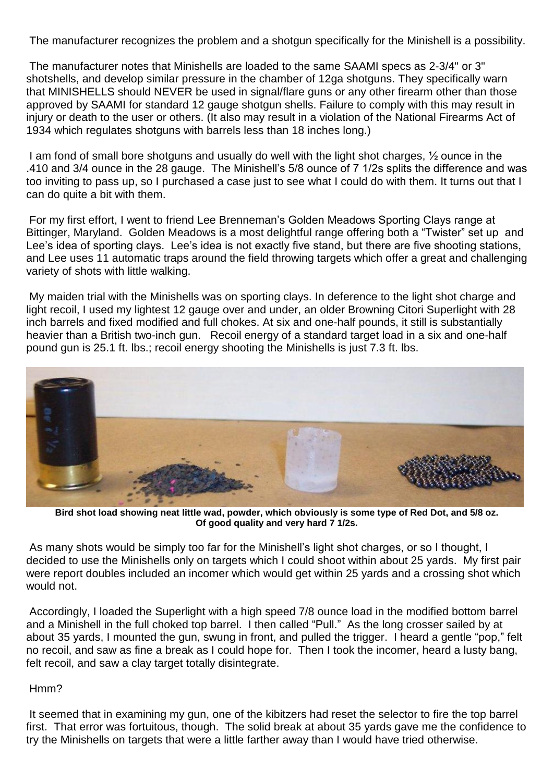The manufacturer recognizes the problem and a shotgun specifically for the Minishell is a possibility.

The manufacturer notes that Minishells are loaded to the same SAAMI specs as 2-3/4" or 3" shotshells, and develop similar pressure in the chamber of 12ga shotguns. They specifically warn that MINISHELLS should NEVER be used in signal/flare guns or any other firearm other than those approved by SAAMI for standard 12 gauge shotgun shells. Failure to comply with this may result in injury or death to the user or others. (It also may result in a violation of the National Firearms Act of 1934 which regulates shotguns with barrels less than 18 inches long.)

I am fond of small bore shotguns and usually do well with the light shot charges, ½ ounce in the .410 and 3/4 ounce in the 28 gauge. The Minishellís 5/8 ounce of 7 1/2s splits the difference and was too inviting to pass up, so I purchased a case just to see what I could do with them. It turns out that I can do quite a bit with them.

For my first effort, I went to friend Lee Brennemanís Golden Meadows Sporting Clays range at Bittinger, Maryland. Golden Meadows is a most delightful range offering both a "Twister" set up and Lee's idea of sporting clays. Lee's idea is not exactly five stand, but there are five shooting stations, and Lee uses 11 automatic traps around the field throwing targets which offer a great and challenging variety of shots with little walking.

My maiden trial with the Minishells was on sporting clays. In deference to the light shot charge and light recoil, I used my lightest 12 gauge over and under, an older Browning Citori Superlight with 28 inch barrels and fixed modified and full chokes. At six and one-half pounds, it still is substantially heavier than a British two-inch gun. Recoil energy of a standard target load in a six and one-half pound gun is 25.1 ft. lbs.; recoil energy shooting the Minishells is just 7.3 ft. lbs.



Bird shot load showing neat little wad, powder, which obviously is some type of Red Dot, and 5/8 oz. **Of good quality and very hard 7 1/2s.**

As many shots would be simply too far for the Minishell's light shot charges, or so I thought, I decided to use the Minishells only on targets which I could shoot within about 25 yards. My first pair were report doubles included an incomer which would get within 25 yards and a crossing shot which

would not.<br>Accordingly, I loaded the Superlight with a high speed 7/8 ounce load in the modified bottom barrel and a Minishell in the full choked top barrel. I then called "Pull." As the long crosser sailed by at about 35 yards, I mounted the gun, swung in front, and pulled the trigger. I heard a gentle "pop," felt no recoil, and saw as fine a break as I could hope for. Then I took the incomer, heard a lusty bang, felt recoil, and saw a clay target totally disintegrate.

#### Hmm?

It seemed that in examining my gun, one of the kibitzers had reset the selector to fire the top barrel first. That error was fortuitous, though. The solid break at about 35 yards gave me the confidence to try the Minishells on targets that were a little farther away than I would have tried otherwise.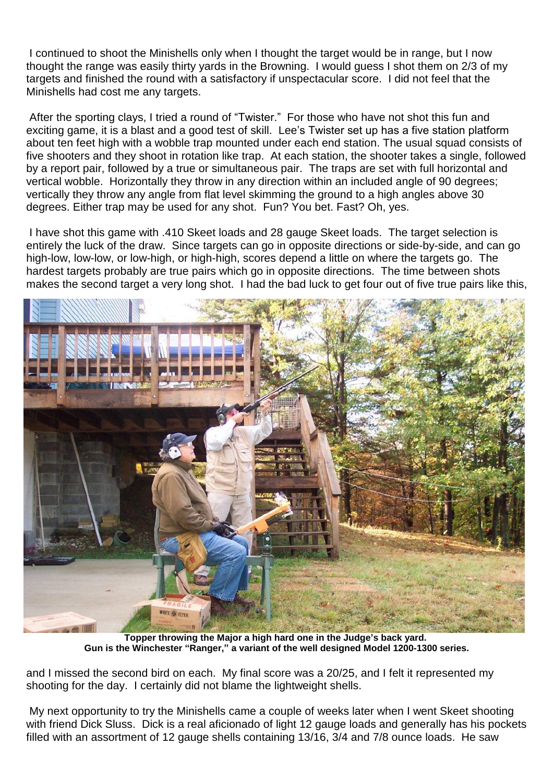I continued to shoot the Minishells only when I thought the target would be in range, but I now thought the range was easily thirty yards in the Browning. I would guess I shot them on 2/3 of my targets and finished the round with a satisfactory if unspectacular score. I did not feel that the Minishells had cost me any targets.

After the sporting clays, I tried a round of "Twister." For those who have not shot this fun and exciting game, it is a blast and a good test of skill. Lee's Twister set up has a five station platform about ten feet high with a wobble trap mounted under each end station. The usual squad consists of five shooters and they shoot in rotation like trap. At each station, the shooter takes a single, followed by a report pair, followed by a true or simultaneous pair. The traps are set with full horizontal and vertical wobble. Horizontally they throw in any direction within an included angle of 90 degrees; vertically they throw any angle from flat level skimming the ground to a high angles above 30 degrees. Either trap may be used for any shot. Fun? You bet. Fast? Oh, yes.

I have shot this game with .410 Skeet loads and 28 gauge Skeet loads. The target selection is entirely the luck of the draw. Since targets can go in opposite directions or side-by-side, and can go high-low, low-low, or low-high, or high-high, scores depend a little on where the targets go. The hardest targets probably are true pairs which go in opposite directions. The time between shots makes the second target a very long shot. I had the bad luck to get four out of five true pairs like this,



**Topper throwing the Major a high hard one in the Judgeís back yard. Gun is the Winchester ìRanger,î a variant of the well designed Model 1200-1300 series.**

and I missed the second bird on each. My final score was a 20/25, and I felt it represented my shooting for the day. I certainly did not blame the lightweight shells.

My next opportunity to try the Minishells came a couple of weeks later when I went Skeet shooting with friend Dick Sluss. Dick is a real aficionado of light 12 gauge loads and generally has his pockets filled with an assortment of 12 gauge shells containing 13/16, 3/4 and 7/8 ounce loads. He saw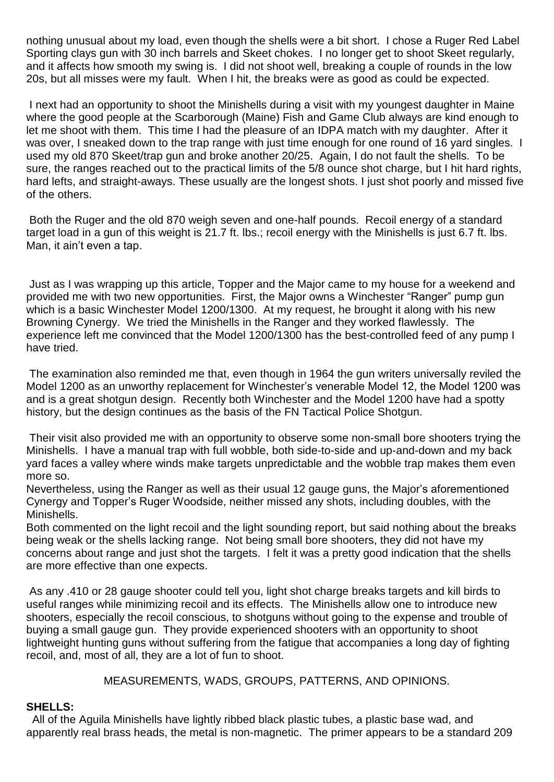nothing unusual about my load, even though the shells were a bit short. I chose a Ruger Red Label Sporting clays gun with 30 inch barrels and Skeet chokes. I no longer get to shoot Skeet regularly, and it affects how smooth my swing is. I did not shoot well, breaking a couple of rounds in the low 20s, but all misses were my fault. When I hit, the breaks were as good as could be expected.

I next had an opportunity to shoot the Minishells during a visitwith my youngest daughter in Maine where the good people at the Scarborough (Maine) Fish and Game Club always are kind enough to let me shoot with them. This time I had the pleasure of an IDPA match with my daughter. After it was over, I sneaked down to the trap range with just time enough for one round of 16 yard singles. I used my old 870 Skeet/trap gun and broke another 20/25. Again, I do not fault the shells. To be sure, the ranges reached out to the practical limits of the 5/8 ounce shot charge, but I hit hard rights, hard lefts, and straight-aways. These usually are the longest shots. I just shot poorly and missed five of the others.

Both the Ruger and the old 870 weigh seven and one-half pounds. Recoil energy of a standard target load in a gun of this weight is 21.7 ft. lbs.; recoil energy with the Minishells is just 6.7 ft. lbs. Man, it ain't even a tap.

Just as I was wrapping up this article, Topper and the Major came to my house for a weekend and provided me with two new opportunities. First, the Major owns a Winchester "Ranger" pump gun which is a basic Winchester Model 1200/1300. At my request, he brought it along with his new Browning Cynergy. We tried the Minishells in the Ranger and they worked flawlessly. The experience left me convinced that the Model 1200/1300 has the best-controlled feed of any pump I have tried.

The examination also reminded me that, even though in 1964 the gun writers universally reviled the Model 1200 as an unworthy replacement for Winchesterís venerable Model 12, the Model 1200 was and is a great shotgun design. Recently both Winchester and the Model 1200 have had a spotty history, but the design continues as the basis of the FN Tactical Police Shotgun.

Their visit also provided me with an opportunity to observe some non-small bore shooters trying the Minishells. I have a manual trap with full wobble, both side-to-side and up-and-down and my back yard faces a valley where winds make targets unpredictable and the wobble trap makes them even more so.

Nevertheless, using the Ranger as well as their usual 12 gauge guns, the Major's aforementioned Cynergy and Topperís Ruger Woodside, neither missed any shots, including doubles, with the Minishells.

Both commented on the light recoil and the light sounding report, but said nothing about the breaks being weak or the shells lacking range. Not being small bore shooters, they did not have my concerns about range and just shot the targets. I felt it was a pretty good indication that the shells are more effective than one expects.

As any .410 or 28 gauge shooter could tell you, light shot charge breaks targets and kill birds to useful ranges while minimizing recoil and its effects. The Minishells allow one to introduce new shooters, especially the recoil conscious, to shotguns without going to the expense and trouble of buying a small gauge gun. They provide experienced shooters with an opportunity to shoot lightweight hunting guns without suffering from the fatigue that accompanies a long day of fighting recoil, and, most of all, they are a lot of fun to shoot.

MEASUREMENTS, WADS, GROUPS, PATTERNS, AND OPINIONS.

#### **SHELLS:**

All of the Aguila Minishells have lightly ribbed black plastic tubes, a plastic base wad, and apparently real brass heads, the metal is non-magnetic. The primer appears to be a standard 209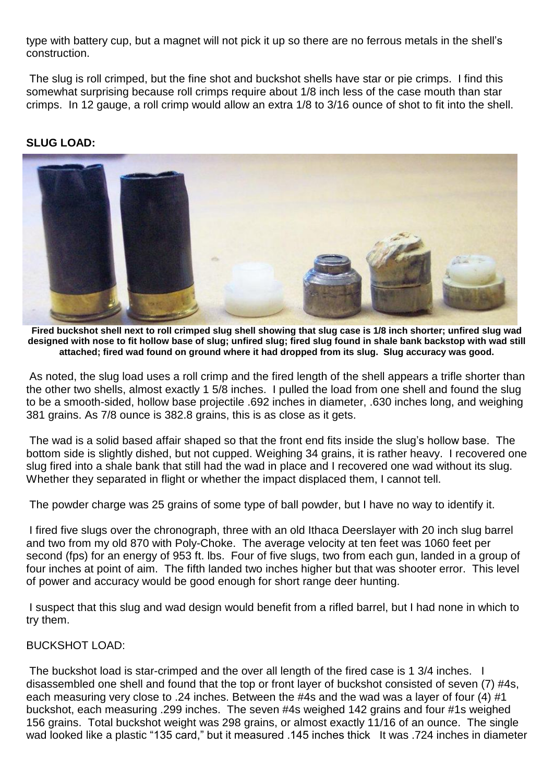type with battery cup, but a magnet will not pick it up so there are no ferrous metals in the shellís construction.

The slug is roll crimped, but the fine shot and buckshot shells have star or pie crimps. I find this somewhat surprising because roll crimps require about 1/8 inch less of the case mouth than star crimps. In 12 gauge, a roll crimp would allow an extra 1/8 to 3/16 ounce of shot to fit into the shell.

#### **SLUG LOAD:**



Fired buckshot shell next to roll crimped slug shell showing that slug case is 1/8 inch shorter; unfired slug wad designed with nose to fit hollow base of slug; unfired slug; fired slug found in shale bank backstop with wad still **attached; fired wad found on ground where it had dropped from its slug. Slug accuracy was good.**

As noted, the slug load uses a roll crimp and the fired length of the shell appears a trifle shorter than the other two shells, almost exactly 1 5/8 inches. I pulled the load from one shell and found the slug to be a smooth-sided, hollow base projectile .692 inches in diameter, .630 inches long, and weighing 381 grains. As 7/8 ounce is 382.8 grains, this is as close as it gets.

The wad is a solid based affair shaped so that the front end fits inside the slug's hollow base. The bottom side is slightly dished, but not cupped. Weighing 34 grains, it is rather heavy. I recovered one slug fired into a shale bank that still had the wad in place and I recovered one wad without its slug. Whether they separated in flight or whether the impact displaced them, I cannot tell.

The powder charge was 25 grains of some type of ball powder, but I have no way to identify it.

I fired five slugs over the chronograph, three with an old Ithaca Deerslayer with 20 inch slug barrel and two from my old 870 with Poly-Choke. The average velocity at ten feetwas 1060 feet per second (fps) for an energy of 953 ft. lbs. Four of five slugs, two from each gun, landed in a group of four inches at point of aim. The fifth landed two inches higher but that was shooter error. This level of power and accuracy would be good enough for short range deer hunting.

I suspect that this slug and wad design would benefit from a rifled barrel, but I had none in which to try them.

#### BUCKSHOT LOAD:

The buckshot load is star-crimped and the over all length of the fired case is 1 3/4 inches. I disassembled one shell and found that the top or front layer of buckshot consisted of seven (7) #4s, each measuring very close to .24 inches. Between the #4s and the wad was a layer of four (4) #1 buckshot, each measuring .299 inches. The seven #4s weighed 142 grains and four #1s weighed 156 grains. Total buckshot weight was 298 grains, or almost exactly 11/16 of an ounce. The single wad looked like a plastic "135 card," but it measured .145 inches thick It was .724 inches in diameter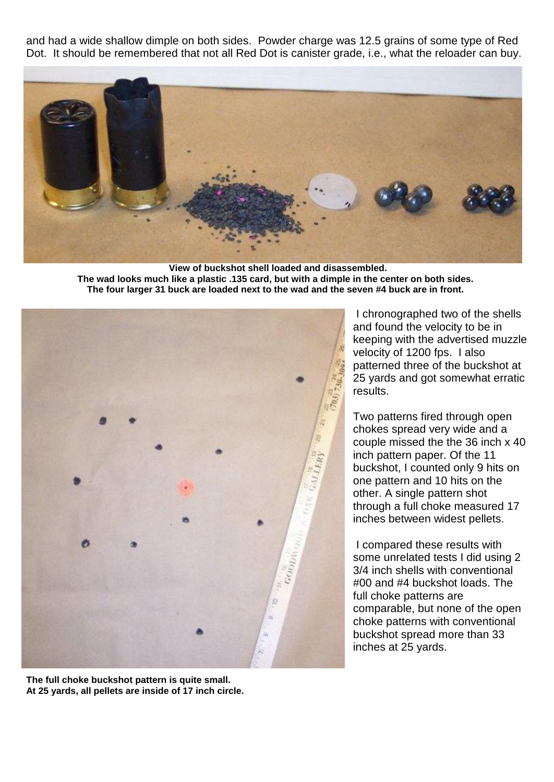and had a wide shallow dimple on both sides. Powder charge was 12.5 grains of some type of Red Dot. It should be remembered that not all Red Dot is canister grade, i.e., what the reloader can buy.



**View of buckshot shell loaded and disassembled. The wad looks much like a plastic .135 card, but with a dimple in the center on both sides. The four larger 31 buck are loaded next to the wad and the seven #4 buck are in front.**



**The full choke buckshot pattern is quite small. At 25 yards, all pellets are inside of 17 inch circle.**

I chronographed two of the shells and found the velocity to be in keeping with the advertised muzzle velocity of 1200 fps. I also patterned three of the buckshot at 25 yards and got somewhat erratic results.

Two patterns fired through open chokes spread very wide and a couple missed the the 36 inch x 40 inch pattern paper. Of the 11 buckshot, I counted only 9 hits on one pattern and 10 hits on the other. A single pattern shot through a full choke measured 17 inches between widest pellets.

I compared these results with some unrelated tests I did using 2 3/4 inch shells with conventional #00 and #4 buckshot loads. The full choke patterns are comparable, but none of the open choke patterns with conventional buckshot spread more than 33 inches at 25 yards.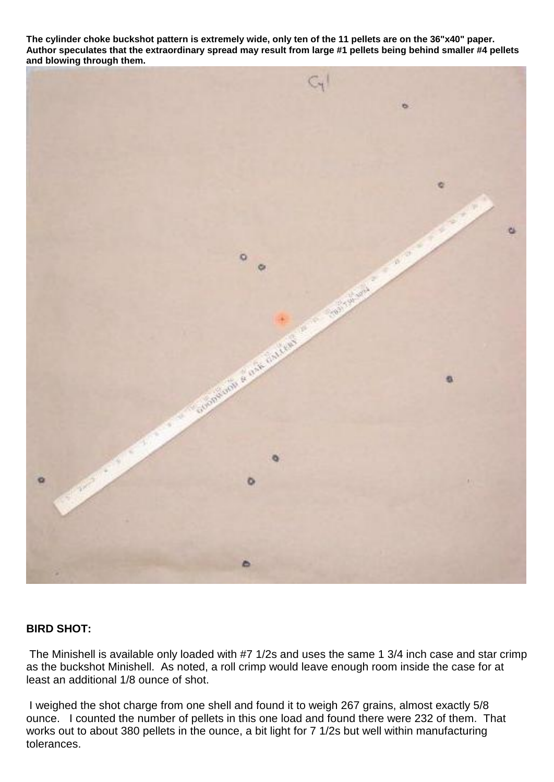The cylinder choke buckshot pattern is extremely wide, only ten of the 11 pellets are on the 36"x40" paper. Author speculates that the extraordinary spread may result from large #1 pellets being behind smaller #4 pellets **and blowing through them.**



#### **BIRD SHOT:**

The Minishell is available only loaded with #7 1/2s and uses the same 1 3/4 inch case and star crimp as the buckshot Minishell. As noted, a roll crimp would leave enough room inside the case for at least an additional 1/8 ounce of shot.

I weighed the shot charge from one shell and found it to weigh 267 grains, almost exactly 5/8 ounce. I counted the number of pellets in this one load and found there were 232 of them. That works out to about 380 pellets in the ounce, a bit light for 7 1/2s but well within manufacturing tolerances.